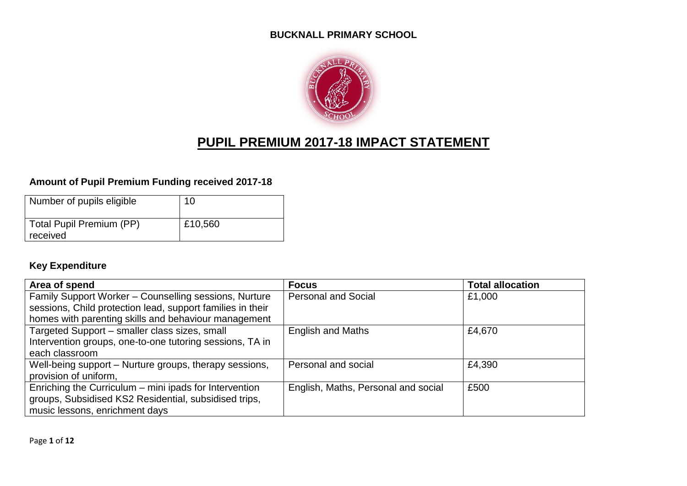#### **BUCKNALL PRIMARY SCHOOL**



# **PUPIL PREMIUM 2017-18 IMPACT STATEMENT**

### **Amount of Pupil Premium Funding received 2017-18**

| Number of pupils eligible            | 10      |
|--------------------------------------|---------|
| Total Pupil Premium (PP)<br>received | £10,560 |

### **Key Expenditure**

| Area of spend                                              | <b>Focus</b>                        | <b>Total allocation</b> |
|------------------------------------------------------------|-------------------------------------|-------------------------|
| Family Support Worker - Counselling sessions, Nurture      | <b>Personal and Social</b>          | £1,000                  |
| sessions, Child protection lead, support families in their |                                     |                         |
| homes with parenting skills and behaviour management       |                                     |                         |
| Targeted Support - smaller class sizes, small              | <b>English and Maths</b>            | £4,670                  |
| Intervention groups, one-to-one tutoring sessions, TA in   |                                     |                         |
| each classroom                                             |                                     |                         |
| Well-being support – Nurture groups, therapy sessions,     | Personal and social                 | £4,390                  |
| provision of uniform,                                      |                                     |                         |
| Enriching the Curriculum - mini ipads for Intervention     | English, Maths, Personal and social | £500                    |
| groups, Subsidised KS2 Residential, subsidised trips,      |                                     |                         |
| music lessons, enrichment days                             |                                     |                         |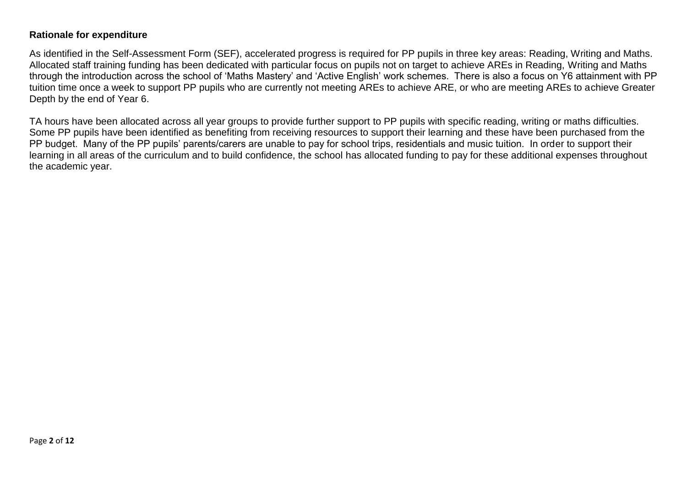#### **Rationale for expenditure**

As identified in the Self-Assessment Form (SEF), accelerated progress is required for PP pupils in three key areas: Reading, Writing and Maths. Allocated staff training funding has been dedicated with particular focus on pupils not on target to achieve AREs in Reading, Writing and Maths through the introduction across the school of 'Maths Mastery' and 'Active English' work schemes. There is also a focus on Y6 attainment with PP tuition time once a week to support PP pupils who are currently not meeting AREs to achieve ARE, or who are meeting AREs to achieve Greater Depth by the end of Year 6.

TA hours have been allocated across all year groups to provide further support to PP pupils with specific reading, writing or maths difficulties. Some PP pupils have been identified as benefiting from receiving resources to support their learning and these have been purchased from the PP budget. Many of the PP pupils' parents/carers are unable to pay for school trips, residentials and music tuition. In order to support their learning in all areas of the curriculum and to build confidence, the school has allocated funding to pay for these additional expenses throughout the academic year.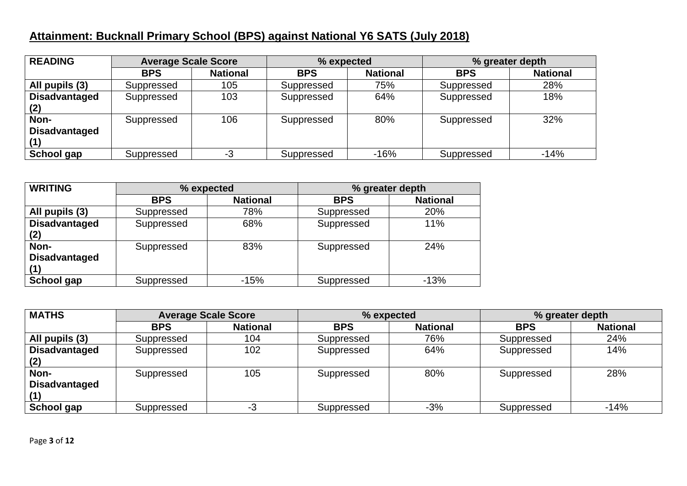## **Attainment: Bucknall Primary School (BPS) against National Y6 SATS (July 2018)**

| <b>READING</b>               | <b>Average Scale Score</b> |                 | % expected |                 | % greater depth |                 |
|------------------------------|----------------------------|-----------------|------------|-----------------|-----------------|-----------------|
|                              | <b>BPS</b>                 | <b>National</b> | <b>BPS</b> | <b>National</b> | <b>BPS</b>      | <b>National</b> |
| All pupils (3)               | Suppressed                 | 105             | Suppressed | 75%             | Suppressed      | 28%             |
| <b>Disadvantaged</b><br>(2)  | Suppressed                 | 103             | Suppressed | 64%             | Suppressed      | 18%             |
| Non-<br><b>Disadvantaged</b> | Suppressed                 | 106             | Suppressed | 80%             | Suppressed      | 32%             |
| School gap                   | Suppressed                 | -3              | Suppressed | $-16%$          | Suppressed      | $-14%$          |

| <b>WRITING</b>               | % expected |                 | % greater depth |                 |
|------------------------------|------------|-----------------|-----------------|-----------------|
|                              | <b>BPS</b> | <b>National</b> | <b>BPS</b>      | <b>National</b> |
| All pupils (3)               | Suppressed | 78%             | Suppressed      | 20%             |
| <b>Disadvantaged</b><br>(2)  | Suppressed | 68%             | Suppressed      | 11%             |
| Non-<br><b>Disadvantaged</b> | Suppressed | 83%             | Suppressed      | 24%             |
| School gap                   | Suppressed | $-15%$          | Suppressed      | $-13%$          |

| <b>MATHS</b>         | <b>Average Scale Score</b> |                 |            | % expected      |            | % greater depth |
|----------------------|----------------------------|-----------------|------------|-----------------|------------|-----------------|
|                      | <b>BPS</b>                 | <b>National</b> | <b>BPS</b> | <b>National</b> | <b>BPS</b> | <b>National</b> |
| All pupils (3)       | Suppressed                 | 104             | Suppressed | 76%             | Suppressed | 24%             |
| <b>Disadvantaged</b> | Suppressed                 | 102             | Suppressed | 64%             | Suppressed | 14%             |
| (2)                  |                            |                 |            |                 |            |                 |
| Non-                 | Suppressed                 | 105             | Suppressed | 80%             | Suppressed | 28%             |
| <b>Disadvantaged</b> |                            |                 |            |                 |            |                 |
|                      |                            |                 |            |                 |            |                 |
| School gap           | Suppressed                 | -3              | Suppressed | $-3%$           | Suppressed | $-14%$          |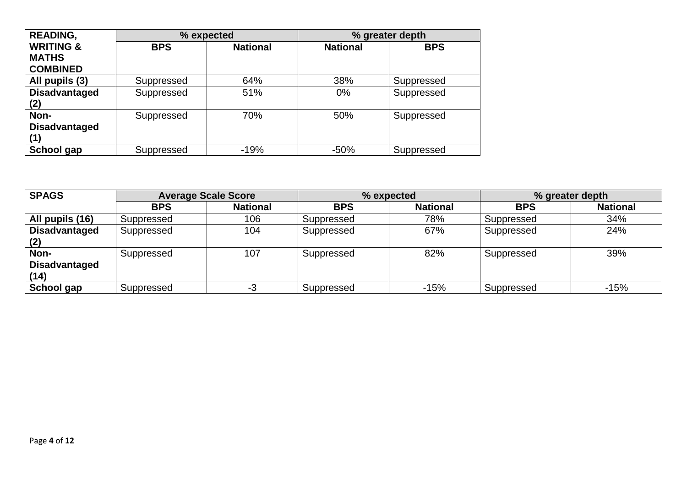| <b>READING,</b>      | % expected |                 |                 | % greater depth |
|----------------------|------------|-----------------|-----------------|-----------------|
| <b>WRITING &amp;</b> | <b>BPS</b> | <b>National</b> | <b>National</b> | <b>BPS</b>      |
| <b>MATHS</b>         |            |                 |                 |                 |
| <b>COMBINED</b>      |            |                 |                 |                 |
| All pupils (3)       | Suppressed | 64%             | 38%             | Suppressed      |
| <b>Disadvantaged</b> | Suppressed | 51%             | 0%              | Suppressed      |
| (2)                  |            |                 |                 |                 |
| Non-                 | Suppressed | 70%             | 50%             | Suppressed      |
| <b>Disadvantaged</b> |            |                 |                 |                 |
| (1)                  |            |                 |                 |                 |
| School gap           | Suppressed | $-19%$          | $-50%$          | Suppressed      |

| <b>SPAGS</b>                         |            | <b>Average Scale Score</b> |            | % expected      |            | % greater depth |
|--------------------------------------|------------|----------------------------|------------|-----------------|------------|-----------------|
|                                      | <b>BPS</b> | <b>National</b>            | <b>BPS</b> | <b>National</b> | <b>BPS</b> | <b>National</b> |
| All pupils (16)                      | Suppressed | 106                        | Suppressed | 78%             | Suppressed | 34%             |
| <b>Disadvantaged</b>                 | Suppressed | 104                        | Suppressed | 67%             | Suppressed | 24%             |
| Non-<br><b>Disadvantaged</b><br>(14) | Suppressed | 107                        | Suppressed | 82%             | Suppressed | 39%             |
| School gap                           | Suppressed | -3                         | Suppressed | $-15%$          | Suppressed | $-15%$          |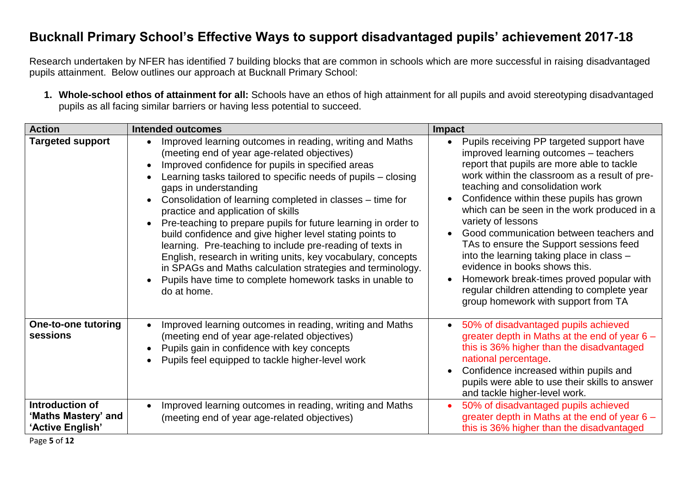## **Bucknall Primary School's Effective Ways to support disadvantaged pupils' achievement 2017-18**

Research undertaken by NFER has identified 7 building blocks that are common in schools which are more successful in raising disadvantaged pupils attainment. Below outlines our approach at Bucknall Primary School:

**1. Whole-school ethos of attainment for all:** Schools have an ethos of high attainment for all pupils and avoid stereotyping disadvantaged pupils as all facing similar barriers or having less potential to succeed.

| <b>Action</b>                                              | <b>Intended outcomes</b>                                                                                                                                                                                                                                                                                                                                                                                                                                                                                                                                                                                                                                                                                                                                                                 | <b>Impact</b>                                                                                                                                                                                                                                                                                                                                                                                                                                                                                                                                                                                                                               |
|------------------------------------------------------------|------------------------------------------------------------------------------------------------------------------------------------------------------------------------------------------------------------------------------------------------------------------------------------------------------------------------------------------------------------------------------------------------------------------------------------------------------------------------------------------------------------------------------------------------------------------------------------------------------------------------------------------------------------------------------------------------------------------------------------------------------------------------------------------|---------------------------------------------------------------------------------------------------------------------------------------------------------------------------------------------------------------------------------------------------------------------------------------------------------------------------------------------------------------------------------------------------------------------------------------------------------------------------------------------------------------------------------------------------------------------------------------------------------------------------------------------|
| <b>Targeted support</b>                                    | Improved learning outcomes in reading, writing and Maths<br>(meeting end of year age-related objectives)<br>Improved confidence for pupils in specified areas<br>$\bullet$<br>Learning tasks tailored to specific needs of pupils – closing<br>gaps in understanding<br>Consolidation of learning completed in classes - time for<br>practice and application of skills<br>Pre-teaching to prepare pupils for future learning in order to<br>$\bullet$<br>build confidence and give higher level stating points to<br>learning. Pre-teaching to include pre-reading of texts in<br>English, research in writing units, key vocabulary, concepts<br>in SPAGs and Maths calculation strategies and terminology.<br>Pupils have time to complete homework tasks in unable to<br>do at home. | Pupils receiving PP targeted support have<br>improved learning outcomes - teachers<br>report that pupils are more able to tackle<br>work within the classroom as a result of pre-<br>teaching and consolidation work<br>Confidence within these pupils has grown<br>which can be seen in the work produced in a<br>variety of lessons<br>Good communication between teachers and<br>TAs to ensure the Support sessions feed<br>into the learning taking place in class -<br>evidence in books shows this.<br>Homework break-times proved popular with<br>regular children attending to complete year<br>group homework with support from TA |
| <b>One-to-one tutoring</b><br>sessions                     | Improved learning outcomes in reading, writing and Maths<br>$\bullet$<br>(meeting end of year age-related objectives)<br>Pupils gain in confidence with key concepts<br>Pupils feel equipped to tackle higher-level work                                                                                                                                                                                                                                                                                                                                                                                                                                                                                                                                                                 | 50% of disadvantaged pupils achieved<br>greater depth in Maths at the end of year 6 -<br>this is 36% higher than the disadvantaged<br>national percentage<br>Confidence increased within pupils and<br>pupils were able to use their skills to answer<br>and tackle higher-level work.                                                                                                                                                                                                                                                                                                                                                      |
| Introduction of<br>'Maths Mastery' and<br>'Active English' | Improved learning outcomes in reading, writing and Maths<br>(meeting end of year age-related objectives)                                                                                                                                                                                                                                                                                                                                                                                                                                                                                                                                                                                                                                                                                 | 50% of disadvantaged pupils achieved<br>greater depth in Maths at the end of year $6 -$<br>this is 36% higher than the disadvantaged                                                                                                                                                                                                                                                                                                                                                                                                                                                                                                        |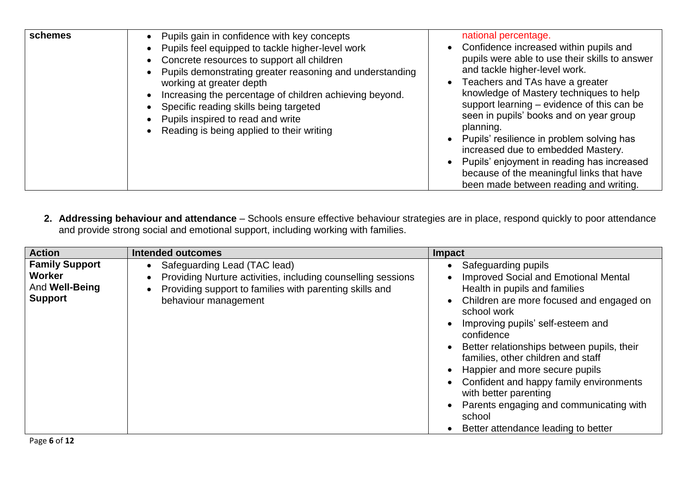| schemes | Pupils gain in confidence with key concepts<br>Pupils feel equipped to tackle higher-level work<br>Concrete resources to support all children<br>Pupils demonstrating greater reasoning and understanding<br>working at greater depth<br>Increasing the percentage of children achieving beyond.<br>Specific reading skills being targeted<br>Pupils inspired to read and write<br>Reading is being applied to their writing | national percentage.<br>Confidence increased within pupils and<br>pupils were able to use their skills to answer<br>and tackle higher-level work.<br>Teachers and TAs have a greater<br>knowledge of Mastery techniques to help<br>support learning – evidence of this can be<br>seen in pupils' books and on year group<br>planning.<br>Pupils' resilience in problem solving has<br>increased due to embedded Mastery.<br>Pupils' enjoyment in reading has increased<br>because of the meaningful links that have<br>been made between reading and writing. |
|---------|------------------------------------------------------------------------------------------------------------------------------------------------------------------------------------------------------------------------------------------------------------------------------------------------------------------------------------------------------------------------------------------------------------------------------|---------------------------------------------------------------------------------------------------------------------------------------------------------------------------------------------------------------------------------------------------------------------------------------------------------------------------------------------------------------------------------------------------------------------------------------------------------------------------------------------------------------------------------------------------------------|
|---------|------------------------------------------------------------------------------------------------------------------------------------------------------------------------------------------------------------------------------------------------------------------------------------------------------------------------------------------------------------------------------------------------------------------------------|---------------------------------------------------------------------------------------------------------------------------------------------------------------------------------------------------------------------------------------------------------------------------------------------------------------------------------------------------------------------------------------------------------------------------------------------------------------------------------------------------------------------------------------------------------------|

**2. Addressing behaviour and attendance** – Schools ensure effective behaviour strategies are in place, respond quickly to poor attendance and provide strong social and emotional support, including working with families.

| <b>Action</b>                                                       | <b>Intended outcomes</b>                                                                                                                                                                     | Impact                                                                                                                                                                                                                                                                                                                                                                                                                                                                                                                            |
|---------------------------------------------------------------------|----------------------------------------------------------------------------------------------------------------------------------------------------------------------------------------------|-----------------------------------------------------------------------------------------------------------------------------------------------------------------------------------------------------------------------------------------------------------------------------------------------------------------------------------------------------------------------------------------------------------------------------------------------------------------------------------------------------------------------------------|
| <b>Family Support</b><br>Worker<br>And Well-Being<br><b>Support</b> | Safeguarding Lead (TAC lead)<br>Providing Nurture activities, including counselling sessions<br>Providing support to families with parenting skills and<br>$\bullet$<br>behaviour management | Safeguarding pupils<br><b>Improved Social and Emotional Mental</b><br>Health in pupils and families<br>Children are more focused and engaged on<br>$\bullet$<br>school work<br>Improving pupils' self-esteem and<br>confidence<br>Better relationships between pupils, their<br>$\bullet$<br>families, other children and staff<br>Happier and more secure pupils<br>Confident and happy family environments<br>with better parenting<br>Parents engaging and communicating with<br>school<br>Better attendance leading to better |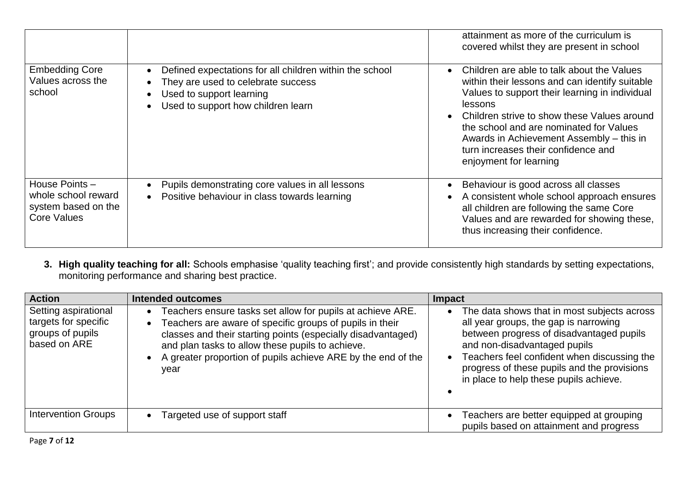|                                                                                   |                                                                                                                                                                 | attainment as more of the curriculum is<br>covered whilst they are present in school                                                                                                                                                                                                                                                                                    |
|-----------------------------------------------------------------------------------|-----------------------------------------------------------------------------------------------------------------------------------------------------------------|-------------------------------------------------------------------------------------------------------------------------------------------------------------------------------------------------------------------------------------------------------------------------------------------------------------------------------------------------------------------------|
| <b>Embedding Core</b><br>Values across the<br>school                              | Defined expectations for all children within the school<br>They are used to celebrate success<br>Used to support learning<br>Used to support how children learn | Children are able to talk about the Values<br>within their lessons and can identify suitable<br>Values to support their learning in individual<br><b>lessons</b><br>Children strive to show these Values around<br>the school and are nominated for Values<br>Awards in Achievement Assembly – this in<br>turn increases their confidence and<br>enjoyment for learning |
| House Points-<br>whole school reward<br>system based on the<br><b>Core Values</b> | Pupils demonstrating core values in all lessons<br>Positive behaviour in class towards learning                                                                 | Behaviour is good across all classes<br>A consistent whole school approach ensures<br>all children are following the same Core<br>Values and are rewarded for showing these,<br>thus increasing their confidence.                                                                                                                                                       |

#### **3. High quality teaching for all:** Schools emphasise 'quality teaching first'; and provide consistently high standards by setting expectations, monitoring performance and sharing best practice.

| <b>Action</b>                                                                    | <b>Intended outcomes</b>                                                                                                                                                                                                                                                                                                                                  | <b>Impact</b>                                                                                                                                                                                                                                                                                                         |
|----------------------------------------------------------------------------------|-----------------------------------------------------------------------------------------------------------------------------------------------------------------------------------------------------------------------------------------------------------------------------------------------------------------------------------------------------------|-----------------------------------------------------------------------------------------------------------------------------------------------------------------------------------------------------------------------------------------------------------------------------------------------------------------------|
| Setting aspirational<br>targets for specific<br>groups of pupils<br>based on ARE | Teachers ensure tasks set allow for pupils at achieve ARE.<br>$\bullet$<br>Teachers are aware of specific groups of pupils in their<br>$\bullet$<br>classes and their starting points (especially disadvantaged)<br>and plan tasks to allow these pupils to achieve.<br>A greater proportion of pupils achieve ARE by the end of the<br>$\bullet$<br>year | The data shows that in most subjects across<br>$\bullet$<br>all year groups, the gap is narrowing<br>between progress of disadvantaged pupils<br>and non-disadvantaged pupils<br>Teachers feel confident when discussing the<br>progress of these pupils and the provisions<br>in place to help these pupils achieve. |
| <b>Intervention Groups</b>                                                       | Targeted use of support staff<br>$\bullet$                                                                                                                                                                                                                                                                                                                | Teachers are better equipped at grouping<br>$\bullet$<br>pupils based on attainment and progress                                                                                                                                                                                                                      |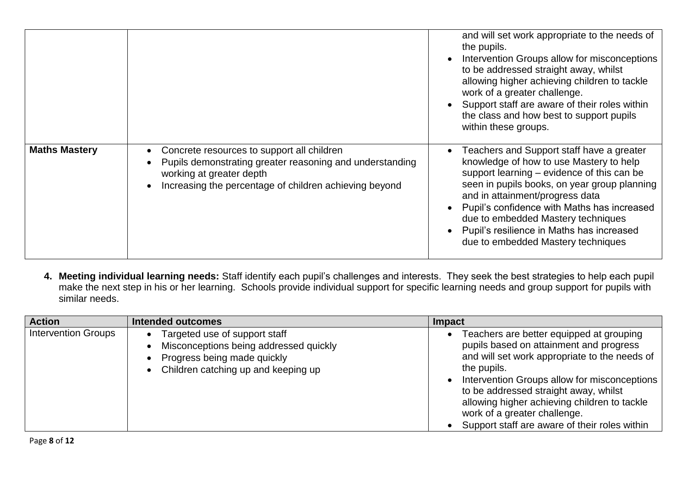|                      |                                                                                                                                                                                              | and will set work appropriate to the needs of<br>the pupils.<br>Intervention Groups allow for misconceptions<br>to be addressed straight away, whilst<br>allowing higher achieving children to tackle<br>work of a greater challenge.<br>Support staff are aware of their roles within<br>the class and how best to support pupils<br>within these groups.                                    |
|----------------------|----------------------------------------------------------------------------------------------------------------------------------------------------------------------------------------------|-----------------------------------------------------------------------------------------------------------------------------------------------------------------------------------------------------------------------------------------------------------------------------------------------------------------------------------------------------------------------------------------------|
| <b>Maths Mastery</b> | Concrete resources to support all children<br>Pupils demonstrating greater reasoning and understanding<br>working at greater depth<br>Increasing the percentage of children achieving beyond | Teachers and Support staff have a greater<br>knowledge of how to use Mastery to help<br>support learning – evidence of this can be<br>seen in pupils books, on year group planning<br>and in attainment/progress data<br>Pupil's confidence with Maths has increased<br>due to embedded Mastery techniques<br>Pupil's resilience in Maths has increased<br>due to embedded Mastery techniques |

**4. Meeting individual learning needs:** Staff identify each pupil's challenges and interests. They seek the best strategies to help each pupil make the next step in his or her learning. Schools provide individual support for specific learning needs and group support for pupils with similar needs.

| <b>Action</b>              | Intended outcomes                                                                                                                               | Impact                                                                                                                                                                                                                                                                                                                                                                        |
|----------------------------|-------------------------------------------------------------------------------------------------------------------------------------------------|-------------------------------------------------------------------------------------------------------------------------------------------------------------------------------------------------------------------------------------------------------------------------------------------------------------------------------------------------------------------------------|
| <b>Intervention Groups</b> | Targeted use of support staff<br>Misconceptions being addressed quickly<br>Progress being made quickly<br>• Children catching up and keeping up | Teachers are better equipped at grouping<br>pupils based on attainment and progress<br>and will set work appropriate to the needs of<br>the pupils.<br>Intervention Groups allow for misconceptions<br>to be addressed straight away, whilst<br>allowing higher achieving children to tackle<br>work of a greater challenge.<br>Support staff are aware of their roles within |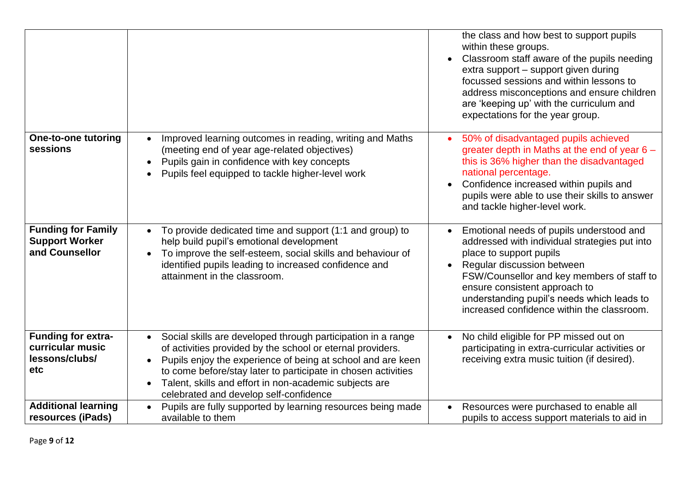|                                                                        |                                                                                                                                                                                                                                                                                                                                                                                                       | the class and how best to support pupils<br>within these groups.<br>Classroom staff aware of the pupils needing<br>extra support - support given during<br>focussed sessions and within lessons to<br>address misconceptions and ensure children<br>are 'keeping up' with the curriculum and<br>expectations for the year group. |
|------------------------------------------------------------------------|-------------------------------------------------------------------------------------------------------------------------------------------------------------------------------------------------------------------------------------------------------------------------------------------------------------------------------------------------------------------------------------------------------|----------------------------------------------------------------------------------------------------------------------------------------------------------------------------------------------------------------------------------------------------------------------------------------------------------------------------------|
| One-to-one tutoring<br>sessions                                        | Improved learning outcomes in reading, writing and Maths<br>$\bullet$<br>(meeting end of year age-related objectives)<br>Pupils gain in confidence with key concepts<br>$\bullet$<br>Pupils feel equipped to tackle higher-level work<br>$\bullet$                                                                                                                                                    | 50% of disadvantaged pupils achieved<br>greater depth in Maths at the end of year $6 -$<br>this is 36% higher than the disadvantaged<br>national percentage.<br>Confidence increased within pupils and<br>pupils were able to use their skills to answer<br>and tackle higher-level work.                                        |
| <b>Funding for Family</b><br><b>Support Worker</b><br>and Counsellor   | To provide dedicated time and support (1:1 and group) to<br>$\bullet$<br>help build pupil's emotional development<br>To improve the self-esteem, social skills and behaviour of<br>$\bullet$<br>identified pupils leading to increased confidence and<br>attainment in the classroom.                                                                                                                 | Emotional needs of pupils understood and<br>addressed with individual strategies put into<br>place to support pupils<br>Regular discussion between<br>FSW/Counsellor and key members of staff to<br>ensure consistent approach to<br>understanding pupil's needs which leads to<br>increased confidence within the classroom.    |
| <b>Funding for extra-</b><br>curricular music<br>lessons/clubs/<br>etc | Social skills are developed through participation in a range<br>$\bullet$<br>of activities provided by the school or eternal providers.<br>Pupils enjoy the experience of being at school and are keen<br>$\bullet$<br>to come before/stay later to participate in chosen activities<br>Talent, skills and effort in non-academic subjects are<br>$\bullet$<br>celebrated and develop self-confidence | No child eligible for PP missed out on<br>participating in extra-curricular activities or<br>receiving extra music tuition (if desired).                                                                                                                                                                                         |
| <b>Additional learning</b><br>resources (iPads)                        | Pupils are fully supported by learning resources being made<br>$\bullet$<br>available to them                                                                                                                                                                                                                                                                                                         | Resources were purchased to enable all<br>pupils to access support materials to aid in                                                                                                                                                                                                                                           |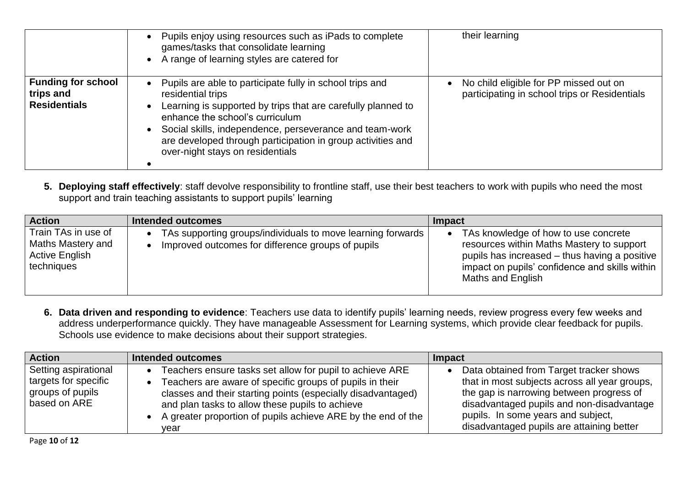|                                                               | Pupils enjoy using resources such as iPads to complete<br>$\bullet$<br>games/tasks that consolidate learning<br>A range of learning styles are catered for<br>$\bullet$                                                                                                                                                                                                               | their learning                                                                          |
|---------------------------------------------------------------|---------------------------------------------------------------------------------------------------------------------------------------------------------------------------------------------------------------------------------------------------------------------------------------------------------------------------------------------------------------------------------------|-----------------------------------------------------------------------------------------|
| <b>Funding for school</b><br>trips and<br><b>Residentials</b> | Pupils are able to participate fully in school trips and<br>$\bullet$<br>residential trips<br>Learning is supported by trips that are carefully planned to<br>$\bullet$<br>enhance the school's curriculum<br>Social skills, independence, perseverance and team-work<br>$\bullet$<br>are developed through participation in group activities and<br>over-night stays on residentials | No child eligible for PP missed out on<br>participating in school trips or Residentials |

**5. Deploying staff effectively**: staff devolve responsibility to frontline staff, use their best teachers to work with pupils who need the most support and train teaching assistants to support pupils' learning

| <b>Action</b>                                                                   | Intended outcomes                                                                                                | Impact                                                                                                                                                                                                    |
|---------------------------------------------------------------------------------|------------------------------------------------------------------------------------------------------------------|-----------------------------------------------------------------------------------------------------------------------------------------------------------------------------------------------------------|
| Train TAs in use of<br>Maths Mastery and<br><b>Active English</b><br>techniques | TAs supporting groups/individuals to move learning forwards<br>Improved outcomes for difference groups of pupils | TAs knowledge of how to use concrete<br>resources within Maths Mastery to support<br>pupils has increased – thus having a positive<br>impact on pupils' confidence and skills within<br>Maths and English |

**6. Data driven and responding to evidence**: Teachers use data to identify pupils' learning needs, review progress every few weeks and address underperformance quickly. They have manageable Assessment for Learning systems, which provide clear feedback for pupils. Schools use evidence to make decisions about their support strategies.

| <b>Action</b>                                                                    | <b>Intended outcomes</b>                                                                                                                                                                                                                                                                                          | Impact                                                                                                                                                                                                                                                               |
|----------------------------------------------------------------------------------|-------------------------------------------------------------------------------------------------------------------------------------------------------------------------------------------------------------------------------------------------------------------------------------------------------------------|----------------------------------------------------------------------------------------------------------------------------------------------------------------------------------------------------------------------------------------------------------------------|
| Setting aspirational<br>targets for specific<br>groups of pupils<br>based on ARE | Teachers ensure tasks set allow for pupil to achieve ARE<br>Teachers are aware of specific groups of pupils in their<br>classes and their starting points (especially disadvantaged)<br>and plan tasks to allow these pupils to achieve<br>• A greater proportion of pupils achieve ARE by the end of the<br>vear | Data obtained from Target tracker shows<br>that in most subjects across all year groups,<br>the gap is narrowing between progress of<br>disadvantaged pupils and non-disadvantage<br>pupils. In some years and subject,<br>disadvantaged pupils are attaining better |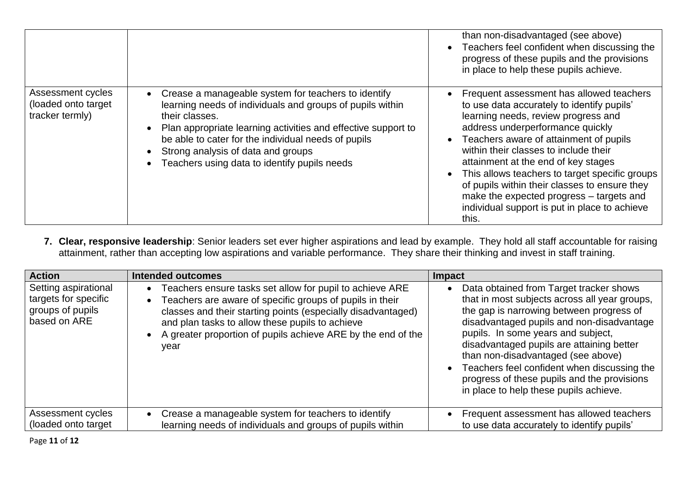|                                                             |                                                                                                                                                                                                                                                                                                                                                  | than non-disadvantaged (see above)<br>Teachers feel confident when discussing the<br>progress of these pupils and the provisions<br>in place to help these pupils achieve.                                                                                                                                                                                                                                                                                                                           |
|-------------------------------------------------------------|--------------------------------------------------------------------------------------------------------------------------------------------------------------------------------------------------------------------------------------------------------------------------------------------------------------------------------------------------|------------------------------------------------------------------------------------------------------------------------------------------------------------------------------------------------------------------------------------------------------------------------------------------------------------------------------------------------------------------------------------------------------------------------------------------------------------------------------------------------------|
| Assessment cycles<br>(loaded onto target<br>tracker termly) | Crease a manageable system for teachers to identify<br>learning needs of individuals and groups of pupils within<br>their classes.<br>Plan appropriate learning activities and effective support to<br>be able to cater for the individual needs of pupils<br>Strong analysis of data and groups<br>Teachers using data to identify pupils needs | Frequent assessment has allowed teachers<br>to use data accurately to identify pupils'<br>learning needs, review progress and<br>address underperformance quickly<br>Teachers aware of attainment of pupils<br>within their classes to include their<br>attainment at the end of key stages<br>This allows teachers to target specific groups<br>of pupils within their classes to ensure they<br>make the expected progress - targets and<br>individual support is put in place to achieve<br>this. |

**7. Clear, responsive leadership**: Senior leaders set ever higher aspirations and lead by example. They hold all staff accountable for raising attainment, rather than accepting low aspirations and variable performance. They share their thinking and invest in staff training.

| <b>Action</b>                                                                    | <b>Intended outcomes</b>                                                                                                                                                                                                                                                                                        | <b>Impact</b>                                                                                                                                                                                                                                                                                                                                                                                                                                      |
|----------------------------------------------------------------------------------|-----------------------------------------------------------------------------------------------------------------------------------------------------------------------------------------------------------------------------------------------------------------------------------------------------------------|----------------------------------------------------------------------------------------------------------------------------------------------------------------------------------------------------------------------------------------------------------------------------------------------------------------------------------------------------------------------------------------------------------------------------------------------------|
| Setting aspirational<br>targets for specific<br>groups of pupils<br>based on ARE | Teachers ensure tasks set allow for pupil to achieve ARE<br>Teachers are aware of specific groups of pupils in their<br>classes and their starting points (especially disadvantaged)<br>and plan tasks to allow these pupils to achieve<br>A greater proportion of pupils achieve ARE by the end of the<br>year | Data obtained from Target tracker shows<br>that in most subjects across all year groups,<br>the gap is narrowing between progress of<br>disadvantaged pupils and non-disadvantage<br>pupils. In some years and subject,<br>disadvantaged pupils are attaining better<br>than non-disadvantaged (see above)<br>Teachers feel confident when discussing the<br>progress of these pupils and the provisions<br>in place to help these pupils achieve. |
| Assessment cycles<br>(loaded onto target                                         | Crease a manageable system for teachers to identify<br>$\bullet$<br>learning needs of individuals and groups of pupils within                                                                                                                                                                                   | Frequent assessment has allowed teachers<br>to use data accurately to identify pupils'                                                                                                                                                                                                                                                                                                                                                             |